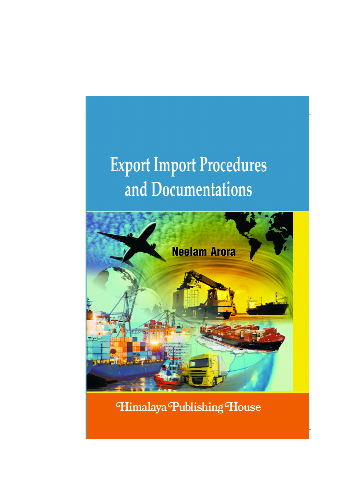# **Export Import Procedures** and Documentations



Himalaya Publishing House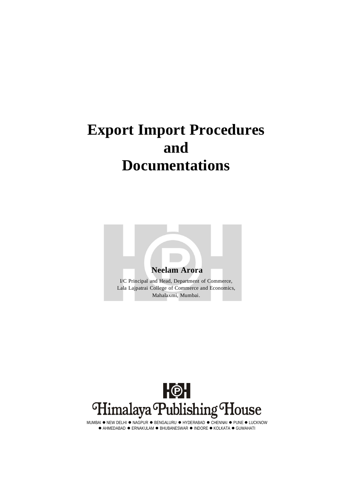# **Export Import Procedures and Documentations**





MUMBAI  $\bullet$  NEW DELHI  $\bullet$  NAGPUR  $\bullet$  BENGALURU  $\bullet$  HYDERABAD  $\bullet$  CHENNAI  $\bullet$  PUNE  $\bullet$  LUCKNOW  $\bullet$  AHMEDABAD  $\bullet$  ERNAKULAM  $\bullet$  BHUBANESWAR  $\bullet$  INDORE  $\bullet$  KOLKATA  $\bullet$  GUWAHATI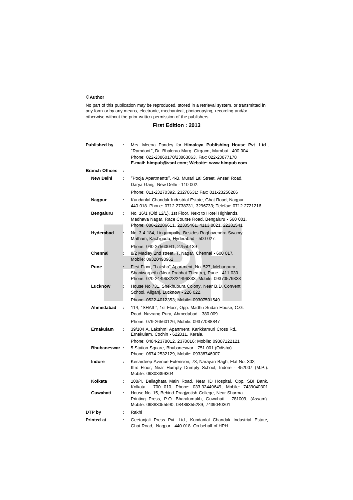#### ©**Author**

No part of this publication may be reproduced, stored in a retrieval system, or transmitted in any form or by any means, electronic, mechanical, photocopying, recording and/or otherwise without the prior written permission of the publishers.

|  | <b>First Edition: 2013</b> |  |  |
|--|----------------------------|--|--|
|--|----------------------------|--|--|

| <b>Published by</b>   | ÷                                                                   | Mrs. Meena Pandey for Himalaya Publishing House Pvt. Ltd.,<br>"Ramdoot", Dr. Bhalerao Marg, Girgaon, Mumbai - 400 004.<br>Phone: 022-23860170/23863863, Fax: 022-23877178<br>E-mail: himpub@vsnl.com; Website: www.himpub.com                                                                       |  |  |
|-----------------------|---------------------------------------------------------------------|-----------------------------------------------------------------------------------------------------------------------------------------------------------------------------------------------------------------------------------------------------------------------------------------------------|--|--|
| <b>Branch Offices</b> | ÷                                                                   |                                                                                                                                                                                                                                                                                                     |  |  |
| <b>New Delhi</b>      | ÷                                                                   | "Pooja Apartments", 4-B, Murari Lal Street, Ansari Road,<br>Darya Ganj, New Delhi - 110 002.                                                                                                                                                                                                        |  |  |
|                       |                                                                     | Phone: 011-23270392, 23278631; Fax: 011-23256286                                                                                                                                                                                                                                                    |  |  |
| Nagpur                | ÷.                                                                  | Kundanlal Chandak Industrial Estate, Ghat Road, Nagpur -<br>440 018. Phone: 0712-2738731, 3296733; Telefax: 0712-2721216<br>No. 16/1 (Old 12/1), 1st Floor, Next to Hotel Highlands,<br>Madhava Nagar, Race Course Road, Bengaluru - 560 001.<br>Phone: 080-22286611, 22385461, 4113 8821, 22281541 |  |  |
| Bengaluru             | ÷.                                                                  |                                                                                                                                                                                                                                                                                                     |  |  |
| Hyderabad             | ŀ.                                                                  | No. 3-4-184, Lingampally, Besides Raghavendra Swamy<br>Matham, Kachiguda, Hyderabad - 500 027.                                                                                                                                                                                                      |  |  |
|                       |                                                                     | Phone: 040-27560041, 27550139                                                                                                                                                                                                                                                                       |  |  |
| Chennai               | b.                                                                  | 8/2 Madley 2nd street, T. Nagar, Chennai - 600 017.<br>Mobile: 09320490962                                                                                                                                                                                                                          |  |  |
| Pune                  | ÷.                                                                  | First Floor, "Laksha" Apartment, No. 527, Mehunpura,<br>Shaniwarpeth (Near Prabhat Theatre), Pune - 411 030.<br>Phone: 020-24496323/24496333; Mobile: 09370579333                                                                                                                                   |  |  |
| Lucknow               | ŀ.                                                                  | House No 731, Shekhupura Colony, Near B.D. Convent<br>School, Aliganj, Lucknow - 226 022.                                                                                                                                                                                                           |  |  |
|                       |                                                                     | Phone: 0522-4012353; Mobile: 09307501549                                                                                                                                                                                                                                                            |  |  |
| Ahmedabad             | ÷                                                                   | 114, "SHAIL", 1st Floor, Opp. Madhu Sudan House, C.G.<br>Road, Navrang Pura, Ahmedabad - 380 009.                                                                                                                                                                                                   |  |  |
|                       |                                                                     | Phone: 079-26560126; Mobile: 09377088847                                                                                                                                                                                                                                                            |  |  |
| <b>Ernakulam</b><br>÷ |                                                                     | 39/104 A, Lakshmi Apartment, Karikkamuri Cross Rd.,<br>Ernakulam, Cochin - 622011, Kerala.                                                                                                                                                                                                          |  |  |
|                       |                                                                     | Phone: 0484-2378012, 2378016; Mobile: 09387122121                                                                                                                                                                                                                                                   |  |  |
| Bhubaneswar:          |                                                                     | 5 Station Square, Bhubaneswar - 751 001 (Odisha).<br>Phone: 0674-2532129, Mobile: 09338746007                                                                                                                                                                                                       |  |  |
| Indore                | ÷.                                                                  | Kesardeep Avenue Extension, 73, Narayan Bagh, Flat No. 302,<br>Illrd Floor, Near Humpty Dumpty School, Indore - 452007 (M.P.).<br>Mobile: 09303399304                                                                                                                                               |  |  |
| Kolkata               | 108/4, Beliaghata Main Road, Near ID Hospital, Opp. SBI Bank,<br>÷. |                                                                                                                                                                                                                                                                                                     |  |  |
| Guwahati              | ÷.                                                                  | Kolkata - 700 010, Phone: 033-32449649, Mobile: 7439040301<br>House No. 15, Behind Pragjyotish College, Near Sharma<br>Printing Press, P.O. Bharalumukh, Guwahati - 781009, (Assam).<br>Mobile: 09883055590, 08486355289, 7439040301                                                                |  |  |
| DTP by                | ÷                                                                   | Rakhi                                                                                                                                                                                                                                                                                               |  |  |
| <b>Printed at</b>     | ÷                                                                   | Geetanjali Press Pvt. Ltd., Kundanlal Chandak Industrial Estate,<br>Ghat Road, Nagpur - 440 018. On behalf of HPH                                                                                                                                                                                   |  |  |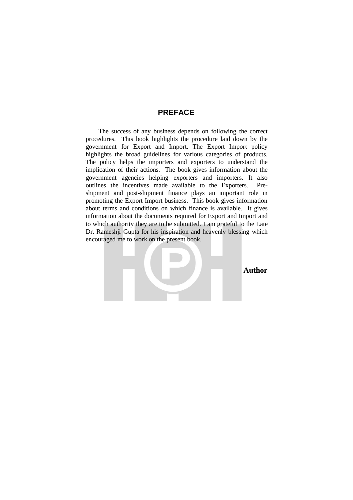#### **PREFACE**

The success of any business depends on following the correct procedures. This book highlights the procedure laid down by the government for Export and Import. The Export Import policy highlights the broad guidelines for various categories of products. The policy helps the importers and exporters to understand the implication of their actions. The book gives information about the government agencies helping exporters and importers. It also outlines the incentives made available to the Exporters. Preshipment and post-shipment finance plays an important role in promoting the Export Import business. This book gives information about terms and conditions on which finance is available. It gives information about the documents required for Export and Import and to which authority they are to be submitted. I am grateful to the Late Dr. Rameshji Gupta for his inspiration and heavenly blessing which encouraged me to work on the present book.

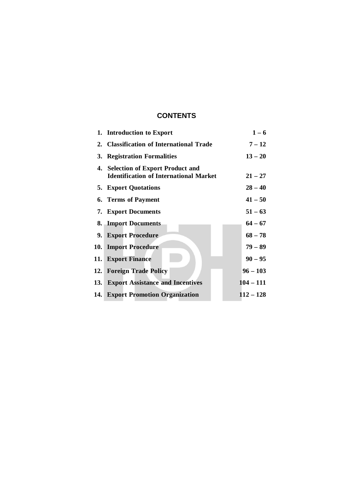# **CONTENTS**

|      | 1. Introduction to Export                                                           | $1 - 6$     |
|------|-------------------------------------------------------------------------------------|-------------|
|      | 2. Classification of International Trade                                            | $7 - 12$    |
|      | 3. Registration Formalities                                                         | $13 - 20$   |
|      | 4. Selection of Export Product and<br><b>Identification of International Market</b> | $21 - 27$   |
|      | <b>5. Export Quotations</b>                                                         | $28 - 40$   |
|      | <b>6. Terms of Payment</b>                                                          | $41 - 50$   |
|      | <b>7. Export Documents</b>                                                          | $51 - 63$   |
|      | 8. Import Documents                                                                 | $64 - 67$   |
| 9.   | <b>Export Procedure</b>                                                             | $68 - 78$   |
| 10.1 | <b>Import Procedure</b>                                                             | $79 - 89$   |
|      | 11. Export Finance                                                                  | $90 - 95$   |
|      | 12. Foreign Trade Policy                                                            | $96 - 103$  |
| 13.  | <b>Export Assistance and Incentives</b>                                             | $104 - 111$ |
|      | 14. Export Promotion Organization                                                   | $112 - 128$ |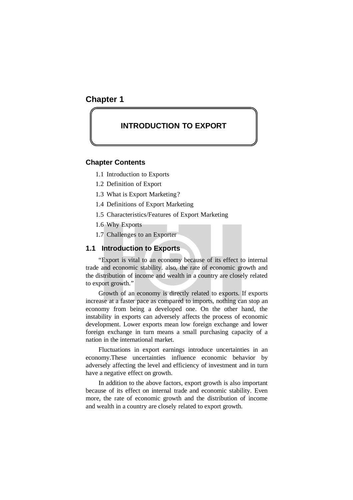### **Chapter 1**

## **INTRODUCTION TO EXPORT**

#### **Chapter Contents**

- 1.1 Introduction to Exports
- 1.2 Definition of Export
- 1.3 What is Export Marketing?
- 1.4 Definitions of Export Marketing
- 1.5 Characteristics/Features of Export Marketing
- 1.6 Why Exports
- 1.7 Challenges to an Exporter

#### **1.1 Introduction to Exports**

"Export is vital to an economy because of its effect to internal trade and economic stability. also, the rate of economic growth and the distribution of income and wealth in a country are closely related to export growth."

Growth of an economy is directly related to exports. If exports increase at a faster pace as compared to imports, nothing can stop an economy from being a developed one. On the other hand, the instability in exports can adversely affects the process of economic development. Lower exports mean low foreign exchange and lower foreign exchange in turn means a small purchasing capacity of a nation in the international market.

Fluctuations in export earnings introduce uncertainties in an economy.These uncertainties influence economic behavior by adversely affecting the level and efficiency of investment and in turn have a negative effect on growth.

In addition to the above factors, export growth is also important because of its effect on internal trade and economic stability. Even more, the rate of economic growth and the distribution of income and wealth in a country are closely related to export growth.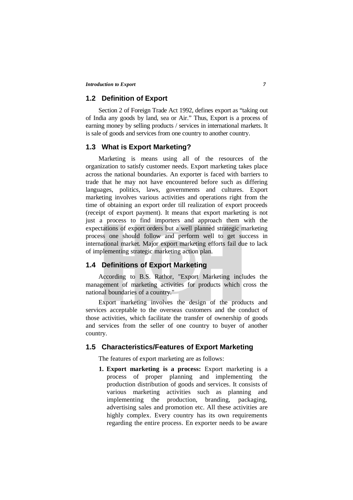#### **1.2 Definition of Export**

Section 2 of Foreign Trade Act 1992, defines export as "taking out of India any goods by land, sea or Air." Thus, Export is a process of earning money by selling products / services in international markets. It is sale of goods and services from one country to another country.

#### **1.3 What is Export Marketing?**

Marketing is means using all of the resources of the organization to satisfy customer needs. Export marketing takes place across the national boundaries. An exporter is faced with barriers to trade that he may not have encountered before such as differing languages, politics, laws, governments and cultures. Export marketing involves various activities and operations right from the time of obtaining an export order till realization of export proceeds (receipt of export payment). It means that export marketing is not just a process to find importers and approach them with the expectations of export orders but a well planned strategic marketing process one should follow and perform well to get success in international market. Major export marketing efforts fail due to lack of implementing strategic marketing action plan.

#### **1.4 Definitions of Export Marketing**

According to B.S. Rathor, "Export Marketing includes the management of marketing activities for products which cross the national boundaries of a country."

Export marketing involves the design of the products and services acceptable to the overseas customers and the conduct of those activities, which facilitate the transfer of ownership of goods and services from the seller of one country to buyer of another country.

#### **1.5 Characteristics/Features of Export Marketing**

The features of export marketing are as follows:

**1. Export marketing is a process:** Export marketing is a process of proper planning and implementing the production distribution of goods and services. It consists of various marketing activities such as planning and implementing the production, branding, packaging, advertising sales and promotion etc. All these activities are highly complex. Every country has its own requirements regarding the entire process. En exporter needs to be aware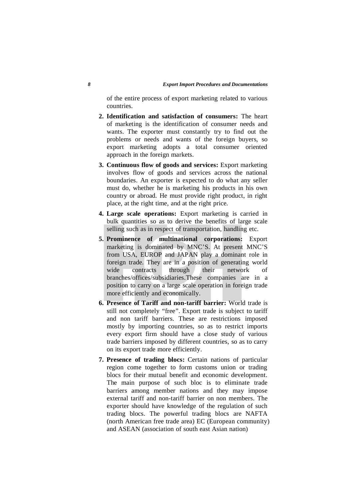of the entire process of export marketing related to various countries.

- **2. Identification and satisfaction of consumers:** The heart of marketing is the identification of consumer needs and wants. The exporter must constantly try to find out the problems or needs and wants of the foreign buyers, so export marketing adopts a total consumer oriented approach in the foreign markets.
- **3. Continuous flow of goods and services:** Export marketing involves flow of goods and services across the national boundaries. An exporter is expected to do what any seller must do, whether he is marketing his products in his own country or abroad. He must provide right product, in right place, at the right time, and at the right price.
- **4. Large scale operations:** Export marketing is carried in bulk quantities so as to derive the benefits of large scale selling such as in respect of transportation, handling etc.
- **5. Prominence of multinational corporations:** Export marketing is dominated by MNC'S. At present MNC'S from USA, EUROP and JAPAN play a dominant role in foreign trade. They are in a position of generating world wide contracts through their network of branches/offices/subsidiaries.These companies are in a position to carry on a large scale operation in foreign trade more efficiently and economically.
- **6. Presence of Tariff and non-tariff barrier:** World trade is still not completely "free". Export trade is subject to tariff and non tariff barriers. These are restrictions imposed mostly by importing countries, so as to restrict imports every export firm should have a close study of various trade barriers imposed by different countries, so as to carry on its export trade more efficiently.
- **7. Presence of trading blocs:** Certain nations of particular region come together to form customs union or trading blocs for their mutual benefit and economic development. The main purpose of such bloc is to eliminate trade barriers among member nations and they may impose external tariff and non-tariff barrier on non members. The exporter should have knowledge of the regulation of such trading blocs. The powerful trading blocs are NAFTA (north American free trade area) EC (European community) and ASEAN (association of south east Asian nation)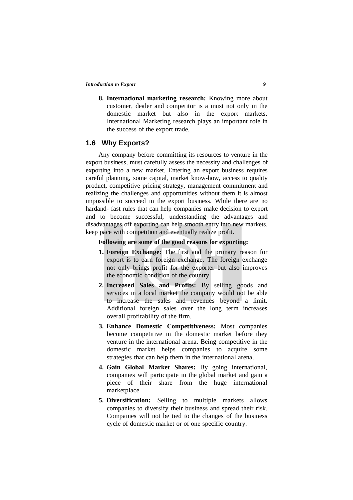**8. International marketing research:** Knowing more about customer, dealer and competitor is a must not only in the domestic market but also in the export markets. International Marketing research plays an important role in the success of the export trade.

#### **1.6 Why Exports?**

Any company before committing its resources to venture in the export business, must carefully assess the necessity and challenges of exporting into a new market. Entering an export business requires careful planning, some capital, market know-how, access to quality product, competitive pricing strategy, management commitment and realizing the challenges and opportunities without them it is almost impossible to succeed in the export business. While there are no hardand- fast rules that can help companies make decision to export and to become successful, understanding the advantages and disadvantages off exporting can help smooth entry into new markets, keep pace with competition and eventually realize profit.

#### **Following are some of the good reasons for exporting:**

- **1. Foreign Exchange:** The first and the primary reason for export is to earn foreign exchange. The foreign exchange not only brings profit for the exporter but also improves the economic condition of the country.
- **2. Increased Sales and Profits:** By selling goods and services in a local market the company would not be able to increase the sales and revenues beyond a limit. Additional foreign sales over the long term increases overall profitability of the firm.
- **3. Enhance Domestic Competitiveness:** Most companies become competitive in the domestic market before they venture in the international arena. Being competitive in the domestic market helps companies to acquire some strategies that can help them in the international arena.
- **4. Gain Global Market Shares:** By going international, companies will participate in the global market and gain a piece of their share from the huge international marketplace.
- **5. Diversification:** Selling to multiple markets allows companies to diversify their business and spread their risk. Companies will not be tied to the changes of the business cycle of domestic market or of one specific country.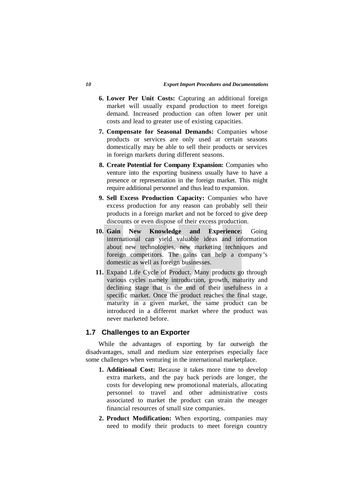- **6. Lower Per Unit Costs:** Capturing an additional foreign market will usually expand production to meet foreign demand. Increased production can often lower per unit costs and lead to greater use of existing capacities.
- **7. Compensate for Seasonal Demands:** Companies whose products or services are only used at certain seasons domestically may be able to sell their products or services in foreign markets during different seasons.
- **8. Create Potential for Company Expansion:** Companies who venture into the exporting business usually have to have a presence or representation in the foreign market. This might require additional personnel and thus lead to expansion.
- **9. Sell Excess Production Capacity:** Companies who have excess production for any reason can probably sell their products in a foreign market and not be forced to give deep discounts or even dispose of their excess production.
- **10. Gain New Knowledge and Experience:** Going international can yield valuable ideas and information about new technologies, new marketing techniques and foreign competitors. The gains can help a company's domestic as well as foreign businesses.
- **11.** Expand Life Cycle of Product. Many products go through various cycles namely introduction, growth, maturity and declining stage that is the end of their usefulness in a specific market. Once the product reaches the final stage, maturity in a given market, the same product can be introduced in a different market where the product was never marketed before.

#### **1.7 Challenges to an Exporter**

While the advantages of exporting by far outweigh the disadvantages, small and medium size enterprises especially face some challenges when venturing in the international marketplace.

- **1. Additional Cost:** Because it takes more time to develop extra markets, and the pay back periods are longer, the costs for developing new promotional materials, allocating personnel to travel and other administrative costs associated to market the product can strain the meager financial resources of small size companies.
- **2. Product Modification:** When exporting, companies may need to modify their products to meet foreign country